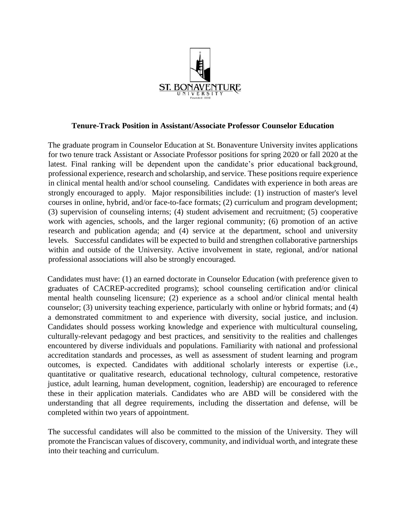

## **Tenure-Track Position in Assistant/Associate Professor Counselor Education**

The graduate program in Counselor Education at St. Bonaventure University invites applications for two tenure track Assistant or Associate Professor positions for spring 2020 or fall 2020 at the latest. Final ranking will be dependent upon the candidate's prior educational background, professional experience, research and scholarship, and service. These positions require experience in clinical mental health and/or school counseling. Candidates with experience in both areas are strongly encouraged to apply. Major responsibilities include: (1) instruction of master's level courses in online, hybrid, and/or face-to-face formats; (2) curriculum and program development; (3) supervision of counseling interns; (4) student advisement and recruitment; (5) cooperative work with agencies, schools, and the larger regional community; (6) promotion of an active research and publication agenda; and (4) service at the department, school and university levels. Successful candidates will be expected to build and strengthen collaborative partnerships within and outside of the University. Active involvement in state, regional, and/or national professional associations will also be strongly encouraged.

Candidates must have: (1) an earned doctorate in Counselor Education (with preference given to graduates of CACREP-accredited programs); school counseling certification and/or clinical mental health counseling licensure; (2) experience as a school and/or clinical mental health counselor; (3) university teaching experience, particularly with online or hybrid formats; and (4) a demonstrated commitment to and experience with diversity, social justice, and inclusion. Candidates should possess working knowledge and experience with multicultural counseling, culturally-relevant pedagogy and best practices, and sensitivity to the realities and challenges encountered by diverse individuals and populations. Familiarity with national and professional accreditation standards and processes, as well as assessment of student learning and program outcomes, is expected. Candidates with additional scholarly interests or expertise (i.e., quantitative or qualitative research, educational technology, cultural competence, restorative justice, adult learning, human development, cognition, leadership) are encouraged to reference these in their application materials. Candidates who are ABD will be considered with the understanding that all degree requirements, including the dissertation and defense, will be completed within two years of appointment.

The successful candidates will also be committed to the mission of the University. They will promote the Franciscan values of discovery, community, and individual worth, and integrate these into their teaching and curriculum.